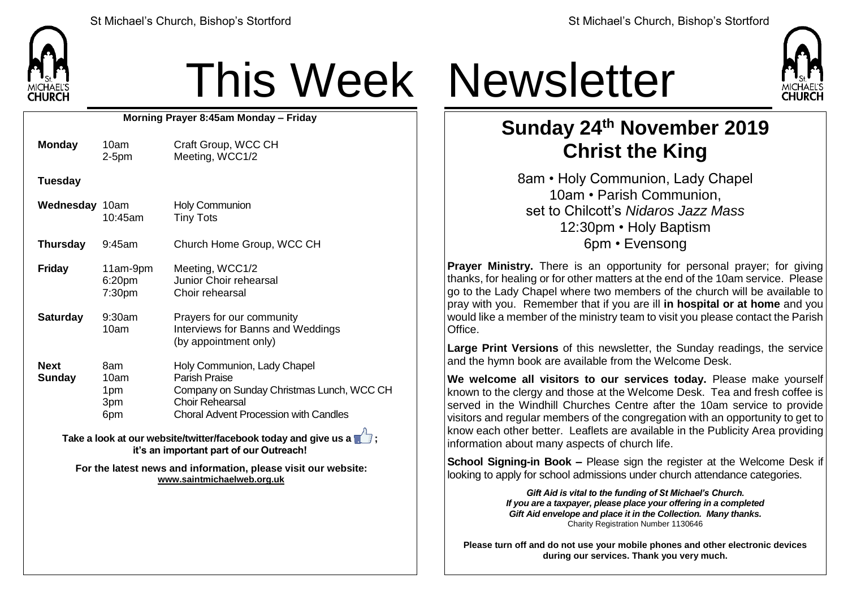

## This Week Newsletter

**Morning Prayer 8:45am Monday – Friday**

| <b>Monday</b>                                                   | 10am<br>$2-5pm$                  | Craft Group, WCC CH<br>Meeting, WCC1/2                                                                                                                                     |  |  |  |  |
|-----------------------------------------------------------------|----------------------------------|----------------------------------------------------------------------------------------------------------------------------------------------------------------------------|--|--|--|--|
| <b>Tuesday</b>                                                  |                                  |                                                                                                                                                                            |  |  |  |  |
| Wednesday 10am                                                  | $10:45$ am                       | <b>Holy Communion</b><br><b>Tiny Tots</b>                                                                                                                                  |  |  |  |  |
| <b>Thursday</b>                                                 | $9:45$ am                        | Church Home Group, WCC CH                                                                                                                                                  |  |  |  |  |
| <b>Friday</b>                                                   | 11am-9pm<br>6:20pm<br>7:30pm     | Meeting, WCC1/2<br>Junior Choir rehearsal<br>Choir rehearsal                                                                                                               |  |  |  |  |
| <b>Saturday</b>                                                 | $9:30$ am<br>10am                | Prayers for our community<br>Interviews for Banns and Weddings<br>(by appointment only)                                                                                    |  |  |  |  |
| <b>Next</b><br><b>Sunday</b>                                    | 8am<br>10am<br>1pm<br>3pm<br>6pm | Holy Communion, Lady Chapel<br><b>Parish Praise</b><br>Company on Sunday Christmas Lunch, WCC CH<br><b>Choir Rehearsal</b><br><b>Choral Advent Procession with Candles</b> |  |  |  |  |
| Take a look at our website/twitter/facebook today and give us a |                                  |                                                                                                                                                                            |  |  |  |  |

**it's an important part of our Outreach!**

**For the latest news and information, please visit our website: [www.saintmichaelweb.org.uk](http://www.saintmichaelweb.org.uk/)**



## **Sunday 24th November 2019 Christ the King**

8am • Holy Communion, Lady Chapel 10am • Parish Communion, set to Chilcott's *Nidaros Jazz Mass* 12:30pm • Holy Baptism 6pm • Evensong

**Prayer Ministry.** There is an opportunity for personal prayer; for giving thanks, for healing or for other matters at the end of the 10am service. Please go to the Lady Chapel where two members of the church will be available to pray with you. Remember that if you are ill **in hospital or at home** and you would like a member of the ministry team to visit you please contact the Parish Office.

**Large Print Versions** of this newsletter, the Sunday readings, the service and the hymn book are available from the Welcome Desk.

**We welcome all visitors to our services today.** Please make yourself known to the clergy and those at the Welcome Desk. Tea and fresh coffee is served in the Windhill Churches Centre after the 10am service to provide visitors and regular members of the congregation with an opportunity to get to know each other better. Leaflets are available in the Publicity Area providing information about many aspects of church life.

**School Signing-in Book –** Please sign the register at the Welcome Desk if looking to apply for school admissions under church attendance categories.

> *Gift Aid is vital to the funding of St Michael's Church. If you are a taxpayer, please place your offering in a completed Gift Aid envelope and place it in the Collection. Many thanks.* Charity Registration Number 1130646

**Please turn off and do not use your mobile phones and other electronic devices during our services. Thank you very much.**